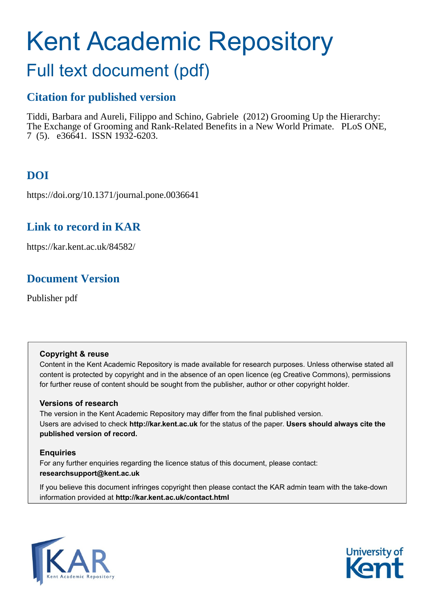# Kent Academic Repository

# Full text document (pdf)

# **Citation for published version**

Tiddi, Barbara and Aureli, Filippo and Schino, Gabriele (2012) Grooming Up the Hierarchy: The Exchange of Grooming and Rank-Related Benefits in a New World Primate. PLoS ONE, 7 (5). e36641. ISSN 1932-6203.

# **DOI**

https://doi.org/10.1371/journal.pone.0036641

## **Link to record in KAR**

https://kar.kent.ac.uk/84582/

## **Document Version**

Publisher pdf

#### **Copyright & reuse**

Content in the Kent Academic Repository is made available for research purposes. Unless otherwise stated all content is protected by copyright and in the absence of an open licence (eg Creative Commons), permissions for further reuse of content should be sought from the publisher, author or other copyright holder.

#### **Versions of research**

The version in the Kent Academic Repository may differ from the final published version. Users are advised to check **http://kar.kent.ac.uk** for the status of the paper. **Users should always cite the published version of record.**

#### **Enquiries**

For any further enquiries regarding the licence status of this document, please contact: **researchsupport@kent.ac.uk**

If you believe this document infringes copyright then please contact the KAR admin team with the take-down information provided at **http://kar.kent.ac.uk/contact.html**



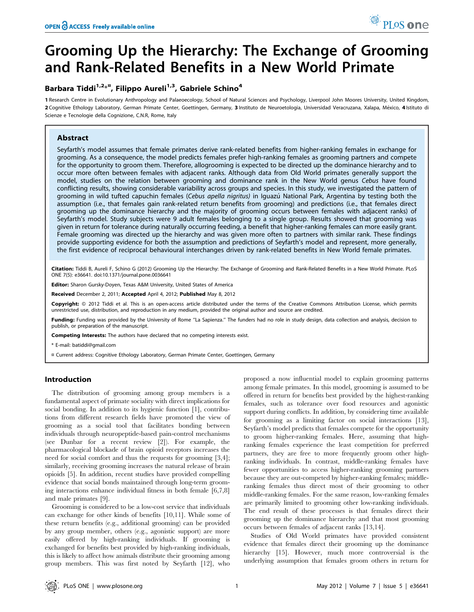# Grooming Up the Hierarchy: The Exchange of Grooming and Rank-Related Benefits in a New World Primate

#### Barbara Tiddi<sup>1,2<sub>\*</sub>¤, Filippo Aureli<sup>1,3</sup>, Gabriele Schino<sup>4</sup></sup>

1 Research Centre in Evolutionary Anthropology and Palaeoecology, School of Natural Sciences and Psychology, Liverpool John Moores University, United Kingdom, 2 Cognitive Ethology Laboratory, German Primate Center, Goettingen, Germany, 3 Instituto de Neuroetologia, Universidad Veracruzana, Xalapa, México, 4 Istituto di Scienze e Tecnologie della Cognizione, C.N.R, Rome, Italy

#### Abstract

Seyfarth's model assumes that female primates derive rank-related benefits from higher-ranking females in exchange for grooming. As a consequence, the model predicts females prefer high-ranking females as grooming partners and compete for the opportunity to groom them. Therefore, allogrooming is expected to be directed up the dominance hierarchy and to occur more often between females with adjacent ranks. Although data from Old World primates generally support the model, studies on the relation between grooming and dominance rank in the New World genus Cebus have found conflicting results, showing considerable variability across groups and species. In this study, we investigated the pattern of grooming in wild tufted capuchin females (Cebus apella nigritus) in Iguazú National Park, Argentina by testing both the assumption (i.e., that females gain rank-related return benefits from grooming) and predictions (i.e., that females direct grooming up the dominance hierarchy and the majority of grooming occurs between females with adjacent ranks) of Seyfarth's model. Study subjects were 9 adult females belonging to a single group. Results showed that grooming was given in return for tolerance during naturally occurring feeding, a benefit that higher-ranking females can more easily grant. Female grooming was directed up the hierarchy and was given more often to partners with similar rank. These findings provide supporting evidence for both the assumption and predictions of Seyfarth's model and represent, more generally, the first evidence of reciprocal behavioural interchanges driven by rank-related benefits in New World female primates.

Citation: Tiddi B, Aureli F, Schino G (2012) Grooming Up the Hierarchy: The Exchange of Grooming and Rank-Related Benefits in a New World Primate. PLoS ONE 7(5): e36641. doi:10.1371/journal.pone.0036641

Editor: Sharon Gursky-Doyen, Texas A&M University, United States of America

Received December 2, 2011; Accepted April 4, 2012; Published May 8, 2012

Copyright: © 2012 Tiddi et al. This is an open-access article distributed under the terms of the Creative Commons Attribution License, which permits unrestricted use, distribution, and reproduction in any medium, provided the original author and source are credited.

Funding: Funding was provided by the University of Rome "La Sapienza." The funders had no role in study design, data collection and analysis, decision to publish, or preparation of the manuscript.

Competing Interests: The authors have declared that no competing interests exist.

\* E-mail: batiddi@gmail.com

¤ Current address: Cognitive Ethology Laboratory, German Primate Center, Goettingen, Germany

#### Introduction

The distribution of grooming among group members is a fundamental aspect of primate sociality with direct implications for social bonding. In addition to its hygienic function [1], contributions from different research fields have promoted the view of grooming as a social tool that facilitates bonding between individuals through neuropeptide-based pain-control mechanisms (see Dunbar for a recent review [2]). For example, the pharmacological blockade of brain opioid receptors increases the need for social comfort and thus the requests for grooming [3,4]; similarly, receiving grooming increases the natural release of brain opioids [5]. In addition, recent studies have provided compelling evidence that social bonds maintained through long-term grooming interactions enhance individual fitness in both female [6,7,8] and male primates [9].

Grooming is considered to be a low-cost service that individuals can exchange for other kinds of benefits [10,11]. While some of these return benefits (e.g., additional grooming) can be provided by any group member, others (e.g., agonistic support) are more easily offered by high-ranking individuals. If grooming is exchanged for benefits best provided by high-ranking individuals, this is likely to affect how animals distribute their grooming among group members. This was first noted by Seyfarth [12], who

proposed a now influential model to explain grooming patterns among female primates. In this model, grooming is assumed to be offered in return for benefits best provided by the highest-ranking females, such as tolerance over food resources and agonistic support during conflicts. In addition, by considering time available for grooming as a limiting factor on social interactions [13], Seyfarth's model predicts that females compete for the opportunity to groom higher-ranking females. Here, assuming that highranking females experience the least competition for preferred partners, they are free to more frequently groom other highranking individuals. In contrast, middle-ranking females have fewer opportunities to access higher-ranking grooming partners because they are out-competed by higher-ranking females; middleranking females thus direct most of their grooming to other middle-ranking females. For the same reason, low-ranking females are primarily limited to grooming other low-ranking individuals. The end result of these processes is that females direct their grooming up the dominance hierarchy and that most grooming occurs between females of adjacent ranks [13,14].

Studies of Old World primates have provided consistent evidence that females direct their grooming up the dominance hierarchy [15]. However, much more controversial is the underlying assumption that females groom others in return for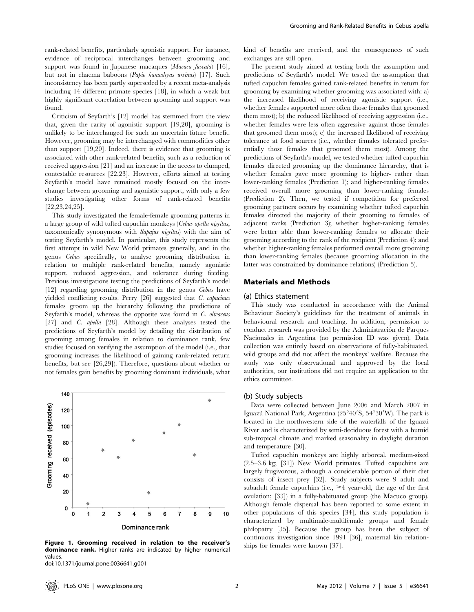rank-related benefits, particularly agonistic support. For instance, evidence of reciprocal interchanges between grooming and support was found in Japanese macaques (Macaca fuscata) [16], but not in chacma baboons (Papio hamadryas ursinus) [17]. Such inconsistency has been partly superseded by a recent meta-analysis including 14 different primate species [18], in which a weak but highly significant correlation between grooming and support was found.

Criticism of Seyfarth's [12] model has stemmed from the view that, given the rarity of agonistic support [19,20], grooming is unlikely to be interchanged for such an uncertain future benefit. However, grooming may be interchanged with commodities other than support [19,20]. Indeed, there is evidence that grooming is associated with other rank-related benefits, such as a reduction of received aggression [21] and an increase in the access to clumped, contestable resources [22,23]. However, efforts aimed at testing Seyfarth's model have remained mostly focused on the interchange between grooming and agonistic support, with only a few studies investigating other forms of rank-related benefits [22,23,24,25].

This study investigated the female-female grooming patterns in a large group of wild tufted capuchin monkeys (Cebus apella nigritus, taxonomically synonymous with Sapajus nigritus) with the aim of testing Seyfarth's model. In particular, this study represents the first attempt in wild New World primates generally, and in the genus Cebus specifically, to analyse grooming distribution in relation to multiple rank-related benefits, namely agonistic support, reduced aggression, and tolerance during feeding. Previous investigations testing the predictions of Seyfarth's model [12] regarding grooming distribution in the genus Cebus have yielded conflicting results. Perry [26] suggested that C. capucinus females groom up the hierarchy following the predictions of Seyfarth's model, whereas the opposite was found in C. olivaceus [27] and *C. apella* [28]. Although these analyses tested the predictions of Seyfarth's model by detailing the distribution of grooming among females in relation to dominance rank, few studies focused on verifying the assumption of the model (i.e., that grooming increases the likelihood of gaining rank-related return benefits; but see [26,29]). Therefore, questions about whether or not females gain benefits by grooming dominant individuals, what



Figure 1. Grooming received in relation to the receiver's ships for females were known [37]. dominance rank. Higher ranks are indicated by higher numerical values.

doi:10.1371/journal.pone.0036641.g001

kind of benefits are received, and the consequences of such exchanges are still open.

The present study aimed at testing both the assumption and predictions of Seyfarth's model. We tested the assumption that tufted capuchin females gained rank-related benefits in return for grooming by examining whether grooming was associated with: a) the increased likelihood of receiving agonistic support (i.e., whether females supported more often those females that groomed them most); b) the reduced likelihood of receiving aggression (i.e., whether females were less often aggressive against those females that groomed them most); c) the increased likelihood of receiving tolerance at food sources (i.e., whether females tolerated preferentially those females that groomed them most). Among the predictions of Seyfarth's model, we tested whether tufted capuchin females directed grooming up the dominance hierarchy, that is whether females gave more grooming to higher- rather than lower-ranking females (Prediction 1); and higher-ranking females received overall more grooming than lower-ranking females (Prediction 2). Then, we tested if competition for preferred grooming partners occurs by examining whether tufted capuchin females directed the majority of their grooming to females of adjacent ranks (Prediction 3); whether higher-ranking females were better able than lower-ranking females to allocate their grooming according to the rank of the recipient (Prediction 4); and whether higher-ranking females performed overall more grooming than lower-ranking females (because grooming allocation in the latter was constrained by dominance relations) (Prediction 5).

#### Materials and Methods

#### (a) Ethics statement

This study was conducted in accordance with the Animal Behaviour Society's guidelines for the treatment of animals in behavioural research and teaching. In addition, permission to conduct research was provided by the Administración de Parques Nacionales in Argentina (no permission ID was given). Data collection was entirely based on observations of fully-habituated, wild groups and did not affect the monkeys' welfare. Because the study was only observational and approved by the local authorities, our institutions did not require an application to the ethics committee.

#### (b) Study subjects

Data were collected between June 2006 and March 2007 in Iguazú National Park, Argentina (25<sup>°40′</sup>S, 54<sup>°30′</sup>W). The park is located in the northwestern side of the waterfalls of the Iguazú River and is characterized by semi-deciduous forest with a humid sub-tropical climate and marked seasonality in daylight duration and temperature [30].

Tufted capuchin monkeys are highly arboreal, medium-sized (2.5–3.6 kg; [31]) New World primates. Tufted capuchins are largely frugivorous, although a considerable portion of their diet consists of insect prey [32]. Study subjects were 9 adult and subadult female capuchins (i.e.,  $\geq 4$  year-old, the age of the first ovulation; [33]) in a fully-habituated group (the Macuco group). Although female dispersal has been reported to some extent in other populations of this species [34], this study population is characterized by multimale-multifemale groups and female philopatry [35]. Because the group has been the subject of continuous investigation since 1991 [36], maternal kin relation-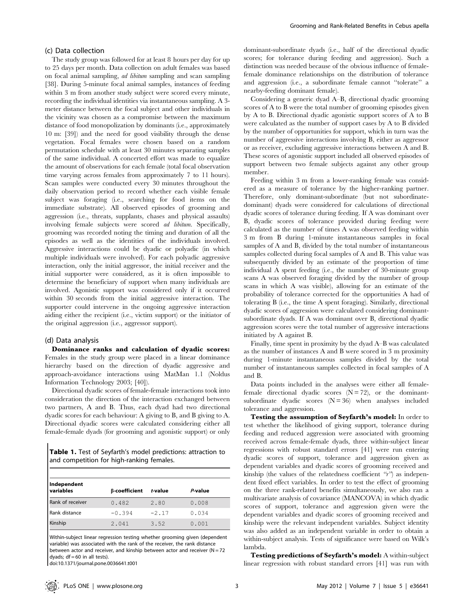#### (c) Data collection

The study group was followed for at least 8 hours per day for up to 25 days per month. Data collection on adult females was based on focal animal sampling, ad libitum sampling and scan sampling [38]. During 5-minute focal animal samples, instances of feeding within 3 m from another study subject were scored every minute, recording the individual identities via instantaneous sampling. A 3 meter distance between the focal subject and other individuals in the vicinity was chosen as a compromise between the maximum distance of food monopolization by dominants (i.e., approximately 10 m: [39]) and the need for good visibility through the dense vegetation. Focal females were chosen based on a random permutation schedule with at least 30 minutes separating samples of the same individual. A concerted effort was made to equalize the amount of observations for each female (total focal observation time varying across females from approximately 7 to 11 hours). Scan samples were conducted every 30 minutes throughout the daily observation period to record whether each visible female subject was foraging (i.e., searching for food items on the immediate substrate). All observed episodes of grooming and aggression (i.e., threats, supplants, chases and physical assaults) involving female subjects were scored ad libitum. Specifically, grooming was recorded noting the timing and duration of all the episodes as well as the identities of the individuals involved. Aggressive interactions could be dyadic or polyadic (in which multiple individuals were involved). For each polyadic aggressive interaction, only the initial aggressor, the initial receiver and the initial supporter were considered, as it is often impossible to determine the beneficiary of support when many individuals are involved. Agonistic support was considered only if it occurred within 30 seconds from the initial aggressive interaction. The supporter could intervene in the ongoing aggressive interaction aiding either the recipient (i.e., victim support) or the initiator of the original aggression (i.e., aggressor support).

#### (d) Data analysis

Dominance ranks and calculation of dyadic scores: Females in the study group were placed in a linear dominance hierarchy based on the direction of dyadic aggressive and approach-avoidance interactions using MatMan 1.1 (Noldus Information Technology 2003; [40]).

Directional dyadic scores of female-female interactions took into consideration the direction of the interaction exchanged between two partners, A and B. Thus, each dyad had two directional dyadic scores for each behaviour: A giving to B, and B giving to A. Directional dyadic scores were calculated considering either all female-female dyads (for grooming and agonistic support) or only

Table 1. Test of Seyfarth's model predictions: attraction to and competition for high-ranking females.

| Independent<br>variables | β-coefficient | t-value | P-value |  |
|--------------------------|---------------|---------|---------|--|
| Rank of receiver         | 0.482         | 2.80    | 0.008   |  |
| Rank distance            | $-0.394$      | $-2.17$ | 0.034   |  |
| Kinship                  | 2.041         | 3.52    | 0.001   |  |

Within-subject linear regression testing whether grooming given (dependent variable) was associated with the rank of the receiver, the rank distance between actor and receiver, and kinship between actor and receiver ( $N = 72$ dyads;  $df = 60$  in all tests).

doi:10.1371/journal.pone.0036641.t001

dominant-subordinate dyads (i.e., half of the directional dyadic scores; for tolerance during feeding and aggression). Such a distinction was needed because of the obvious influence of femalefemale dominance relationships on the distribution of tolerance and aggression (i.e., a subordinate female cannot ''tolerate'' a nearby-feeding dominant female).

Considering a generic dyad A–B, directional dyadic grooming scores of A to B were the total number of grooming episodes given by A to B. Directional dyadic agonistic support scores of A to B were calculated as the number of support cases by A to B divided by the number of opportunities for support, which in turn was the number of aggressive interactions involving B, either as aggressor or as receiver, excluding aggressive interactions between A and B. These scores of agonistic support included all observed episodes of support between two female subjects against any other group member.

Feeding within 3 m from a lower-ranking female was considered as a measure of tolerance by the higher-ranking partner. Therefore, only dominant-subordinate (but not subordinatedominant) dyads were considered for calculations of directional dyadic scores of tolerance during feeding. If A was dominant over B, dyadic scores of tolerance provided during feeding were calculated as the number of times A was observed feeding within 3 m from B during 1-minute instantaneous samples in focal samples of A and B, divided by the total number of instantaneous samples collected during focal samples of A and B. This value was subsequently divided by an estimate of the proportion of time individual A spent feeding (i.e., the number of 30-minute group scans A was observed foraging divided by the number of group scans in which A was visible), allowing for an estimate of the probability of tolerance corrected for the opportunities A had of tolerating B (i.e., the time A spent foraging). Similarly, directional dyadic scores of aggression were calculated considering dominantsubordinate dyads. If A was dominant over B, directional dyadic aggression scores were the total number of aggressive interactions initiated by A against B.

Finally, time spent in proximity by the dyad A–B was calculated as the number of instances A and B were scored in 3 m proximity during 1-minute instantaneous samples divided by the total number of instantaneous samples collected in focal samples of A and B.

Data points included in the analyses were either all femalefemale directional dyadic scores  $(N = 72)$ , or the dominantsubordinate dyadic scores  $(N = 36)$  when analyses included tolerance and aggression.

Testing the assumption of Seyfarth's model: In order to test whether the likelihood of giving support, tolerance during feeding and reduced aggression were associated with grooming received across female-female dyads, three within-subject linear regressions with robust standard errors [41] were run entering dyadic scores of support, tolerance and aggression given as dependent variables and dyadic scores of grooming received and kinship (the values of the relatedness coefficient  $\gamma$ ) as independent fixed effect variables. In order to test the effect of grooming on the three rank-related benefits simultaneously, we also ran a multivariate analysis of covariance (MANCOVA) in which dyadic scores of support, tolerance and aggression given were the dependent variables and dyadic scores of grooming received and kinship were the relevant independent variables. Subject identity was also added as an independent variable in order to obtain a within-subject analysis. Tests of significance were based on Wilk's lambda.

Testing predictions of Seyfarth's model: A within-subject linear regression with robust standard errors [41] was run with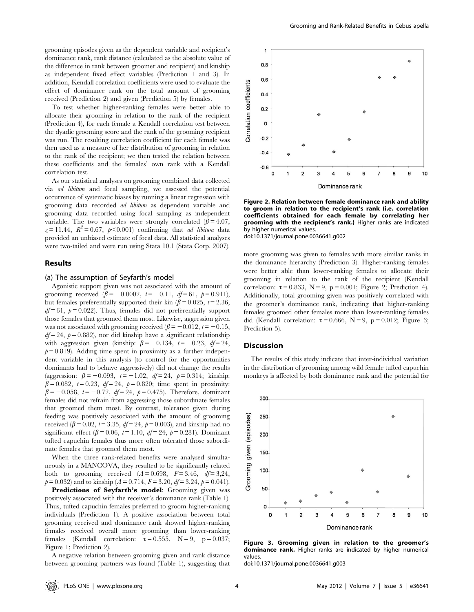grooming episodes given as the dependent variable and recipient's dominance rank, rank distance (calculated as the absolute value of the difference in rank between groomer and recipient) and kinship as independent fixed effect variables (Prediction 1 and 3). In addition, Kendall correlation coefficients were used to evaluate the effect of dominance rank on the total amount of grooming received (Prediction 2) and given (Prediction 5) by females.

To test whether higher-ranking females were better able to allocate their grooming in relation to the rank of the recipient (Prediction 4), for each female a Kendall correlation test between the dyadic grooming score and the rank of the grooming recipient was run. The resulting correlation coefficient for each female was then used as a measure of her distribution of grooming in relation to the rank of the recipient; we then tested the relation between these coefficients and the females' own rank with a Kendall correlation test.

As our statistical analyses on grooming combined data collected via ad libitum and focal sampling, we assessed the potential occurrence of systematic biases by running a linear regression with grooming data recorded ad libitum as dependent variable and grooming data recorded using focal sampling as independent variable. The two variables were strongly correlated  $(\beta = 4.07,$  $z = 11.44$ ,  $R^2 = 0.67$ ,  $p < 0.001$  confirming that *ad libitum* data provided an unbiased estimate of focal data. All statistical analyses were two-tailed and were run using Stata 10.1 (Stata Corp. 2007).

#### Results

#### (a) The assumption of Seyfarth's model

Agonistic support given was not associated with the amount of grooming received  $(\beta = -0.0002, t = -0.11, df= 61, p= 0.911)$ , but females preferentially supported their kin ( $\beta$  = 0.025, t = 2.36,  $df = 61$ ,  $p = 0.022$ ). Thus, females did not preferentially support those females that groomed them most. Likewise, aggression given was not associated with grooming received  $(\beta = -0.012, t = -0.15,$  $df = 24$ ,  $p = 0.882$ ), nor did kinship have a significant relationship with aggression given (kinship:  $\beta = -0.134$ ,  $t = -0.23$ ,  $df = 24$ ,  $p = 0.819$ . Adding time spent in proximity as a further independent variable in this analysis (to control for the opportunities dominants had to behave aggressively) did not change the results (aggression:  $\beta = -0.093$ ,  $t = -1.02$ ,  $df = 24$ ,  $p = 0.314$ ; kinship:  $\beta = 0.082$ ,  $t = 0.23$ ,  $df = 24$ ,  $p = 0.820$ ; time spent in proximity:  $\beta = -0.058$ ,  $t = -0.72$ ,  $df = 24$ ,  $p = 0.475$ ). Therefore, dominant females did not refrain from aggressing those subordinate females that groomed them most. By contrast, tolerance given during feeding was positively associated with the amount of grooming received ( $\beta$  = 0.02, t = 3.35, df = 24, p = 0.003), and kinship had no significant effect ( $\beta$  = 0.06, t = 1.10, df = 24, p = 0.281). Dominant tufted capuchin females thus more often tolerated those subordinate females that groomed them most.

When the three rank-related benefits were analysed simultaneously in a MANCOVA, they resulted to be significantly related both to grooming received  $(A=0.698, F=3.46, df=3.24,$  $p = 0.032$  and to kinship ( $\Lambda = 0.714$ ,  $F = 3.20$ ,  $df = 3.24$ ,  $p = 0.041$ ).

Predictions of Seyfarth's model: Grooming given was positively associated with the receiver's dominance rank (Table 1). Thus, tufted capuchin females preferred to groom higher-ranking individuals (Prediction 1). A positive association between total grooming received and dominance rank showed higher-ranking females received overall more grooming than lower-ranking females (Kendall correlation:  $\tau = 0.555$ ,  $N = 9$ ,  $p = 0.037$ ; Figure 1; Prediction 2).

A negative relation between grooming given and rank distance between grooming partners was found (Table 1), suggesting that



Figure 2. Relation between female dominance rank and ability to groom in relation to the recipient's rank (i.e. correlation coefficients obtained for each female by correlating her grooming with the recipient's rank.) Higher ranks are indicated by higher numerical values. doi:10.1371/journal.pone.0036641.g002

more grooming was given to females with more similar ranks in the dominance hierarchy (Prediction 3). Higher-ranking females were better able than lower-ranking females to allocate their grooming in relation to the rank of the recipient (Kendall correlation:  $\tau = 0.833$ ,  $N = 9$ ,  $p = 0.001$ ; Figure 2; Prediction 4). Additionally, total grooming given was positively correlated with the groomer's dominance rank, indicating that higher-ranking females groomed other females more than lower-ranking females did (Kendall correlation:  $\tau = 0.666$ , N = 9, p = 0.012; Figure 3; Prediction 5).

#### **Discussion**

The results of this study indicate that inter-individual variation in the distribution of grooming among wild female tufted capuchin monkeys is affected by both dominance rank and the potential for



Figure 3. Grooming given in relation to the groomer's dominance rank. Higher ranks are indicated by higher numerical values.

doi:10.1371/journal.pone.0036641.g003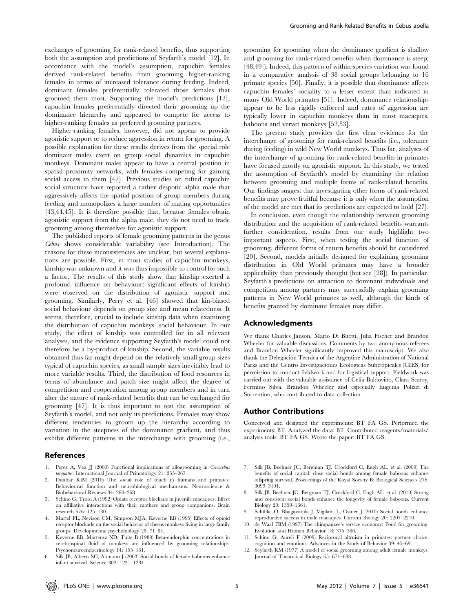exchanges of grooming for rank-related benefits, thus supporting both the assumption and predictions of Seyfarth's model [12]. In accordance with the model's assumption, capuchin females derived rank-related benefits from grooming higher-ranking females in terms of increased tolerance during feeding. Indeed, dominant females preferentially tolerated those females that groomed them most. Supporting the model's predictions [12], capuchin females preferentially directed their grooming up the dominance hierarchy and appeared to compete for access to higher-ranking females as preferred grooming partners.

Higher-ranking females, however, did not appear to provide agonistic support or to reduce aggression in return for grooming. A possible explanation for these results derives from the special role dominant males exert on group social dynamics in capuchin monkeys. Dominant males appear to have a central position in spatial proximity networks, with females competing for gaining social access to them [42]. Previous studies on tufted capuchin social structure have reported a rather despotic alpha male that aggressively affects the spatial position of group members during feeding and monopolizes a large number of mating opportunities [43,44,45]. It is therefore possible that, because females obtain agonistic support from the alpha male, they do not need to trade grooming among themselves for agonistic support.

The published reports of female grooming patterns in the genus Cebus shows considerable variability (see Introduction). The reasons for these inconsistencies are unclear, but several explanations are possible. First, in most studies of capuchin monkeys, kinship was unknown and it was thus impossible to control for such a factor. The results of this study show that kinship exerted a profound influence on behaviour: significant effects of kinship were observed on the distribution of agonistic support and grooming. Similarly, Perry et al. [46] showed that kin-biased social behaviour depends on group size and mean relatedness. It seems, therefore, crucial to include kinship data when examining the distribution of capuchin monkeys' social behaviour. In our study, the effect of kinship was controlled for in all relevant analyses, and the evidence supporting Seyfarth's model could not therefore be a by-product of kinship. Second, the variable results obtained thus far might depend on the relatively small group sizes typical of capuchin species, as small sample sizes inevitably lead to more variable results. Third, the distribution of food resources in terms of abundance and patch size might affect the degree of competition and cooperation among group members and in turn alter the nature of rank-related benefits that can be exchanged for grooming [47]. It is thus important to test the assumption of Seyfarth's model, and not only its predictions. Females may show different tendencies to groom up the hierarchy according to variation in the steepness of the dominance gradient, and thus exhibit different patterns in the interchange with grooming (i.e.,

#### References

- Pérez A, Veà JJ (2000) Functional implications of allogrooming in Cercocebus torquatus. International Journal of Primatology 21: 255–267.
- 2. Dunbar RIM (2010) The social role of touch in humans and primates: Behavioural function and neurobiological mechanisms. Neuroscience & Biobehavioral Reviews 34: 260–268.
- 3. Schino G, Troisi A (1992) Opiate receptor blockade in juvenile macaques: Effect on affiliative interactions with their mothers and group companions. Brain research 576: 125–130.
- 4. Martel FL, Nevison CM, Simpson MJA, Keverne EB (1995) Effects of opioid receptor blockade on the social behavior of rhesus monkeys living in large family groups. Developmental psychobiology 28: 71–84.
- 5. Keverne EB, Martensz ND, Tuite B (1989) Beta-endorphin concentrations in cerebrospinal fluid of monkeys are influenced by grooming relationships. Psychoneuroendocrinology 14: 155–161.
- Silk JB, Alberts SC, Altmann J (2003) Social bonds of female baboons enhance infant survival. Science 302: 1231–1234.

grooming for grooming when the dominance gradient is shallow and grooming for rank-related benefits when dominance is steep; [48,49]). Indeed, this pattern of within-species variation was found in a comparative analysis of 38 social groups belonging to 16 primate species [50]. Finally, it is possible that dominance affects capuchin females' sociality to a lesser extent than indicated in many Old World primates [51]. Indeed, dominance relationships appear to be less rigidly enforced and rates of aggression are typically lower in capuchin monkeys than in most macaques, baboons and vervet monkeys [52,53].

The present study provides the first clear evidence for the interchange of grooming for rank-related benefits (i.e., tolerance during feeding) in wild New World monkeys. Thus far, analyses of the interchange of grooming for rank-related benefits in primates have focused mostly on agonistic support. In this study, we tested the assumption of Seyfarth's model by examining the relation between grooming and multiple forms of rank-related benefits. Our findings suggest that investigating other forms of rank-related benefits may prove fruitful because it is only when the assumption of the model are met that its predictions are expected to hold [27].

In conclusion, even though the relationship between grooming distribution and the acquisition of rank-related benefits warrants further consideration, results from our study highlight two important aspects. First, when testing the social function of grooming, different forms of return benefits should be considered [20]. Second, models initially designed for explaining grooming distribution in Old World primates may have a broader applicability than previously thought (but see [28]). In particular, Seyfarth's predictions on attraction to dominant individuals and competition among partners may successfully explain grooming patterns in New World primates as well, although the kinds of benefits granted by dominant females may differ.

#### Acknowledgments

We thank Charles Janson, Mario Di Bitetti, Julia Fischer and Brandon Wheeler for valuable discussions. Comments by two anonymous referees and Brandon Wheeler significantly improved this manuscript. We also thank the Delegación Tecnica of the Argentine Administration of National Parks and the Centro Investigaciones Ecologicas Subtropicales (CIES) for permission to conduct fieldwork and for logistical support. Fieldwork was carried out with the valuable assistance of Celia Baldovino, Clara Scarry, Fermino Silva, Brandon Wheeler and especially Eugenia Polizzi di Sorrentino, who contributed to data collection.

#### Author Contributions

Conceived and designed the experiments: BT FA GS. Performed the experiments: BT. Analyzed the data: BT. Contributed reagents/materials/ analysis tools: BT FA GS. Wrote the paper: BT FA GS.

- 7. Silk JB, Beehner JC, Bergman TJ, Crockford C, Engh AL, et al. (2009) The benefits of social capital: close social bonds among female baboons enhance offspring survival. Proceedings of the Royal Society B: Biological Sciences 276: 3099–3104.
- 8. Silk JB, Beehner JC, Bergman TJ, Crockford C, Engh AL, et al. (2010) Strong and consistent social bonds enhance the longevity of female baboons. Current Biology 20: 1359–1361.
- Schülke O, Bhagavatula J, Vigilant L, Ostner J (2010) Social bonds enhance reproductive success in male macaques. Current Biology 20: 2207–2210.
- 10. de Waal FBM (1997) The chimpanzee's service economy: Food for grooming. Evolution and Human Behavior 18: 375–386.
- 11. Schino G, Aureli F (2009) Reciprocal altruism in primates: partner choice, cognition and emotions. Advances in the Study of Behavior 39: 45–69.
- 12. Seyfarth RM (1977) A model of social grooming among adult female monkeys. Journal of Theoretical Biology 65: 671–698.